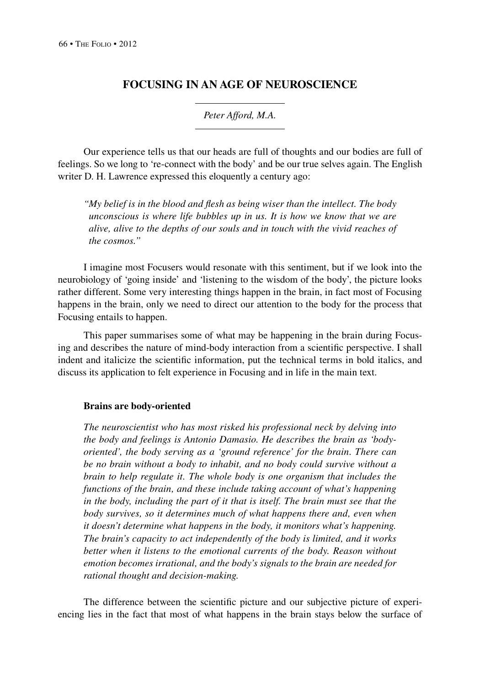# **Focusing in an Age of Neuroscience**

*Peter Afford, M.A.*

Our experience tells us that our heads are full of thoughts and our bodies are full of feelings. So we long to 're-connect with the body' and be our true selves again. The English writer D. H. Lawrence expressed this eloquently a century ago:

*"My belief is in the blood and flesh as being wiser than the intellect. The body unconscious is where life bubbles up in us. It is how we know that we are alive, alive to the depths of our souls and in touch with the vivid reaches of the cosmos."*

I imagine most Focusers would resonate with this sentiment, but if we look into the neurobiology of 'going inside' and 'listening to the wisdom of the body', the picture looks rather different. Some very interesting things happen in the brain, in fact most of Focusing happens in the brain, only we need to direct our attention to the body for the process that Focusing entails to happen.

This paper summarises some of what may be happening in the brain during Focusing and describes the nature of mind-body interaction from a scientific perspective. I shall indent and italicize the scientific information, put the technical terms in bold italics, and discuss its application to felt experience in Focusing and in life in the main text.

## **Brains are body-oriented**

*The neuroscientist who has most risked his professional neck by delving into the body and feelings is Antonio Damasio. He describes the brain as 'bodyoriented', the body serving as a 'ground reference' for the brain. There can be no brain without a body to inhabit, and no body could survive without a brain to help regulate it. The whole body is one organism that includes the functions of the brain, and these include taking account of what's happening in the body, including the part of it that is itself. The brain must see that the body survives, so it determines much of what happens there and, even when it doesn't determine what happens in the body, it monitors what's happening. The brain's capacity to act independently of the body is limited, and it works better when it listens to the emotional currents of the body. Reason without emotion becomes irrational, and the body's signals to the brain are needed for rational thought and decision-making.*

The difference between the scientific picture and our subjective picture of experiencing lies in the fact that most of what happens in the brain stays below the surface of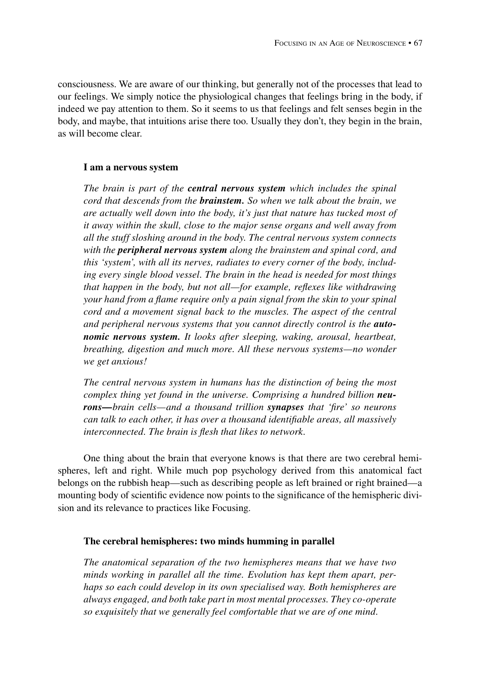consciousness. We are aware of our thinking, but generally not of the processes that lead to our feelings. We simply notice the physiological changes that feelings bring in the body, if indeed we pay attention to them. So it seems to us that feelings and felt senses begin in the body, and maybe, that intuitions arise there too. Usually they don't, they begin in the brain, as will become clear.

# **I am a nervous system**

*The brain is part of the central nervous system which includes the spinal cord that descends from the brainstem. So when we talk about the brain, we are actually well down into the body, it's just that nature has tucked most of it away within the skull, close to the major sense organs and well away from all the stuff sloshing around in the body. The central nervous system connects with the peripheral nervous system along the brainstem and spinal cord, and this 'system', with all its nerves, radiates to every corner of the body, including every single blood vessel. The brain in the head is needed for most things that happen in the body, but not all—for example, reflexes like withdrawing your hand from a flame require only a pain signal from the skin to your spinal cord and a movement signal back to the muscles. The aspect of the central*  and peripheral nervous systems that you cannot directly control is the **auto***nomic nervous system. It looks after sleeping, waking, arousal, heartbeat, breathing, digestion and much more. All these nervous systems—no wonder we get anxious!*

*The central nervous system in humans has the distinction of being the most complex thing yet found in the universe. Comprising a hundred billion neurons—brain cells—and a thousand trillion synapses that 'fire' so neurons can talk to each other, it has over a thousand identifiable areas, all massively interconnected. The brain is flesh that likes to network.*

One thing about the brain that everyone knows is that there are two cerebral hemispheres, left and right. While much pop psychology derived from this anatomical fact belongs on the rubbish heap—such as describing people as left brained or right brained—a mounting body of scientific evidence now points to the significance of the hemispheric division and its relevance to practices like Focusing.

## **The cerebral hemispheres: two minds humming in parallel**

*The anatomical separation of the two hemispheres means that we have two minds working in parallel all the time. Evolution has kept them apart, perhaps so each could develop in its own specialised way. Both hemispheres are always engaged, and both take part in most mental processes. They co-operate so exquisitely that we generally feel comfortable that we are of one mind.*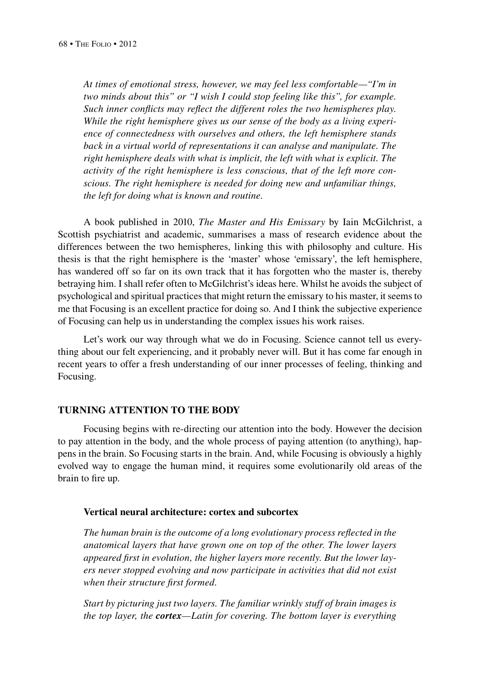*At times of emotional stress, however, we may feel less comfortable—"I'm in two minds about this" or "I wish I could stop feeling like this", for example. Such inner conflicts may reflect the different roles the two hemispheres play. While the right hemisphere gives us our sense of the body as a living experience of connectedness with ourselves and others, the left hemisphere stands back in a virtual world of representations it can analyse and manipulate. The right hemisphere deals with what is implicit, the left with what is explicit. The activity of the right hemisphere is less conscious, that of the left more conscious. The right hemisphere is needed for doing new and unfamiliar things, the left for doing what is known and routine.*

A book published in 2010, *The Master and His Emissary* by Iain McGilchrist, a Scottish psychiatrist and academic, summarises a mass of research evidence about the differences between the two hemispheres, linking this with philosophy and culture. His thesis is that the right hemisphere is the 'master' whose 'emissary', the left hemisphere, has wandered off so far on its own track that it has forgotten who the master is, thereby betraying him. I shall refer often to McGilchrist's ideas here. Whilst he avoids the subject of psychological and spiritual practices that might return the emissary to his master, it seems to me that Focusing is an excellent practice for doing so. And I think the subjective experience of Focusing can help us in understanding the complex issues his work raises.

Let's work our way through what we do in Focusing. Science cannot tell us everything about our felt experiencing, and it probably never will. But it has come far enough in recent years to offer a fresh understanding of our inner processes of feeling, thinking and Focusing.

# **Turning attention to the body**

Focusing begins with re-directing our attention into the body. However the decision to pay attention in the body, and the whole process of paying attention (to anything), happens in the brain. So Focusing starts in the brain. And, while Focusing is obviously a highly evolved way to engage the human mind, it requires some evolutionarily old areas of the brain to fire up.

#### **Vertical neural architecture: cortex and subcortex**

*The human brain is the outcome of a long evolutionary process reflected in the anatomical layers that have grown one on top of the other. The lower layers appeared first in evolution, the higher layers more recently. But the lower layers never stopped evolving and now participate in activities that did not exist when their structure first formed.*

*Start by picturing just two layers. The familiar wrinkly stuff of brain images is the top layer, the cortex—Latin for covering. The bottom layer is everything*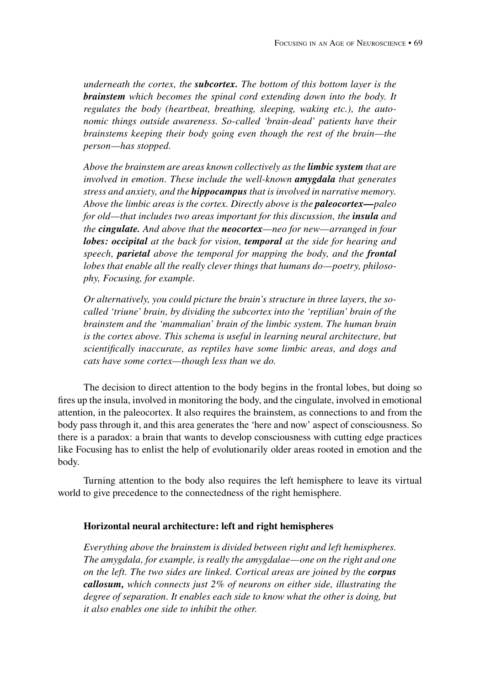*underneath the cortex, the subcortex. The bottom of this bottom layer is the brainstem which becomes the spinal cord extending down into the body. It regulates the body (heartbeat, breathing, sleeping, waking etc.), the autonomic things outside awareness. So-called 'brain-dead' patients have their brainstems keeping their body going even though the rest of the brain—the person—has stopped.*

*Above the brainstem are areas known collectively as the limbic system that are involved in emotion. These include the well-known amygdala that generates stress and anxiety, and the hippocampus that is involved in narrative memory. Above the limbic areas is the cortex. Directly above is the paleocortex—paleo for old—that includes two areas important for this discussion, the <i>insula* and *the cingulate. And above that the neocortex—neo for new—arranged in four lobes: occipital at the back for vision, temporal at the side for hearing and speech, parietal above the temporal for mapping the body, and the frontal lobes that enable all the really clever things that humans do—poetry, philosophy, Focusing, for example.*

*Or alternatively, you could picture the brain's structure in three layers, the socalled 'triune' brain, by dividing the subcortex into the 'reptilian' brain of the brainstem and the 'mammalian' brain of the limbic system. The human brain is the cortex above. This schema is useful in learning neural architecture, but scientifically inaccurate, as reptiles have some limbic areas, and dogs and cats have some cortex—though less than we do.*

The decision to direct attention to the body begins in the frontal lobes, but doing so fires up the insula, involved in monitoring the body, and the cingulate, involved in emotional attention, in the paleocortex. It also requires the brainstem, as connections to and from the body pass through it, and this area generates the 'here and now' aspect of consciousness. So there is a paradox: a brain that wants to develop consciousness with cutting edge practices like Focusing has to enlist the help of evolutionarily older areas rooted in emotion and the body.

Turning attention to the body also requires the left hemisphere to leave its virtual world to give precedence to the connectedness of the right hemisphere.

#### **Horizontal neural architecture: left and right hemispheres**

*Everything above the brainstem is divided between right and left hemispheres. The amygdala, for example, is really the amygdalae—one on the right and one on the left. The two sides are linked. Cortical areas are joined by the corpus callosum, which connects just 2% of neurons on either side, illustrating the degree of separation. It enables each side to know what the other is doing, but it also enables one side to inhibit the other.*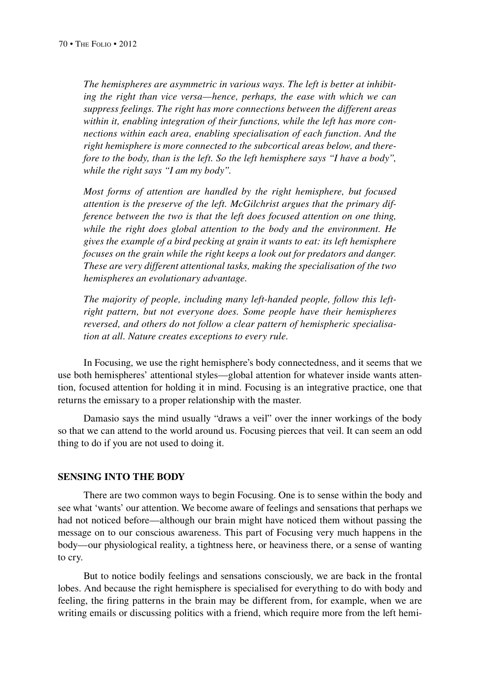*The hemispheres are asymmetric in various ways. The left is better at inhibiting the right than vice versa—hence, perhaps, the ease with which we can suppress feelings. The right has more connections between the different areas within it, enabling integration of their functions, while the left has more connections within each area, enabling specialisation of each function. And the right hemisphere is more connected to the subcortical areas below, and therefore to the body, than is the left. So the left hemisphere says "I have a body", while the right says "I am my body".*

*Most forms of attention are handled by the right hemisphere, but focused attention is the preserve of the left. McGilchrist argues that the primary difference between the two is that the left does focused attention on one thing, while the right does global attention to the body and the environment. He gives the example of a bird pecking at grain it wants to eat: its left hemisphere focuses on the grain while the right keeps a look out for predators and danger. These are very different attentional tasks, making the specialisation of the two hemispheres an evolutionary advantage.*

*The majority of people, including many left-handed people, follow this leftright pattern, but not everyone does. Some people have their hemispheres reversed, and others do not follow a clear pattern of hemispheric specialisation at all. Nature creates exceptions to every rule.*

In Focusing, we use the right hemisphere's body connectedness, and it seems that we use both hemispheres' attentional styles—global attention for whatever inside wants attention, focused attention for holding it in mind. Focusing is an integrative practice, one that returns the emissary to a proper relationship with the master.

Damasio says the mind usually "draws a veil" over the inner workings of the body so that we can attend to the world around us. Focusing pierces that veil. It can seem an odd thing to do if you are not used to doing it.

#### **Sensing into the body**

There are two common ways to begin Focusing. One is to sense within the body and see what 'wants' our attention. We become aware of feelings and sensations that perhaps we had not noticed before—although our brain might have noticed them without passing the message on to our conscious awareness. This part of Focusing very much happens in the body—our physiological reality, a tightness here, or heaviness there, or a sense of wanting to cry.

But to notice bodily feelings and sensations consciously, we are back in the frontal lobes. And because the right hemisphere is specialised for everything to do with body and feeling, the firing patterns in the brain may be different from, for example, when we are writing emails or discussing politics with a friend, which require more from the left hemi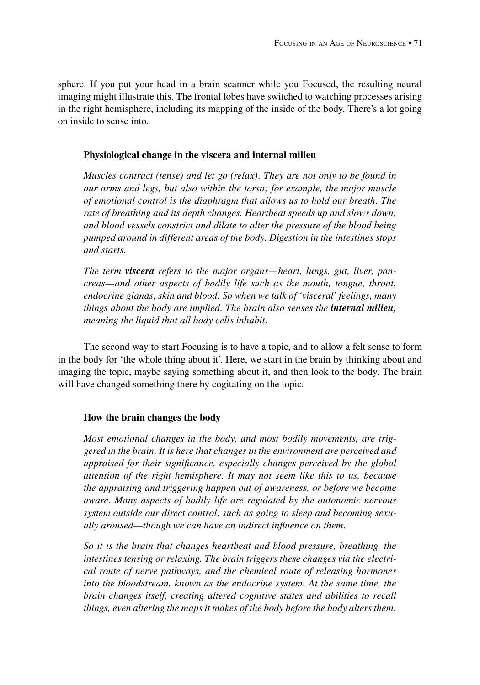sphere. If you put your head in a brain scanner while you Focused, the resulting neural imaging might illustrate this. The frontal lobes have switched to watching processes arising in the right hemisphere, including its mapping of the inside of the body. There's a lot going on inside to sense into.

## **Physiological change in the viscera and internal milieu**

*Muscles contract (tense) and let go (relax). They are not only to be found in our arms and legs, but also within the torso; for example, the major muscle of emotional control is the diaphragm that allows us to hold our breath. The rate of breathing and its depth changes. Heartbeat speeds up and slows down, and blood vessels constrict and dilate to alter the pressure of the blood being pumped around in different areas of the body. Digestion in the intestines stops and starts.*

*The term viscera refers to the major organs—heart, lungs, gut, liver, pancreas—and other aspects of bodily life such as the mouth, tongue, throat, endocrine glands, skin and blood. So when we talk of 'visceral' feelings, many things about the body are implied. The brain also senses the internal milieu, meaning the liquid that all body cells inhabit.*

The second way to start Focusing is to have a topic, and to allow a felt sense to form in the body for 'the whole thing about it'. Here, we start in the brain by thinking about and imaging the topic, maybe saying something about it, and then look to the body. The brain will have changed something there by cogitating on the topic.

# **How the brain changes the body**

*Most emotional changes in the body, and most bodily movements, are triggered in the brain. It is here that changes in the environment are perceived and appraised for their significance, especially changes perceived by the global attention of the right hemisphere. It may not seem like this to us, because the appraising and triggering happen out of awareness, or before we become aware. Many aspects of bodily life are regulated by the autonomic nervous system outside our direct control, such as going to sleep and becoming sexually aroused—though we can have an indirect influence on them.*

*So it is the brain that changes heartbeat and blood pressure, breathing, the intestines tensing or relaxing. The brain triggers these changes via the electrical route of nerve pathways, and the chemical route of releasing hormones into the bloodstream, known as the endocrine system. At the same time, the brain changes itself, creating altered cognitive states and abilities to recall things, even altering the maps it makes of the body before the body alters them.*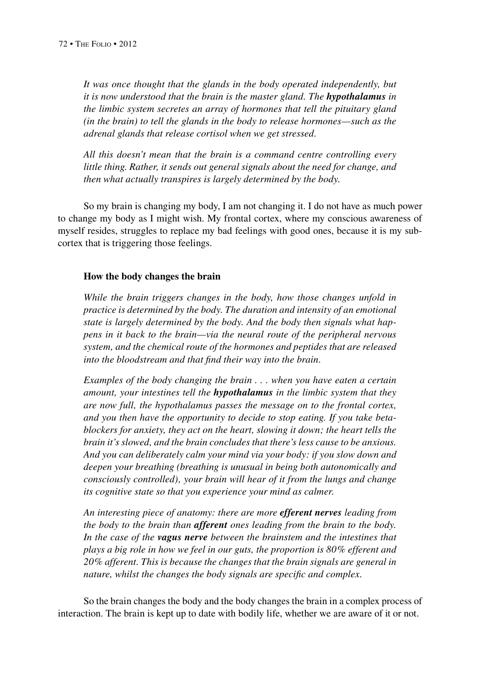*It was once thought that the glands in the body operated independently, but it is now understood that the brain is the master gland. The hypothalamus in the limbic system secretes an array of hormones that tell the pituitary gland (in the brain) to tell the glands in the body to release hormones—such as the adrenal glands that release cortisol when we get stressed.*

*All this doesn't mean that the brain is a command centre controlling every little thing. Rather, it sends out general signals about the need for change, and then what actually transpires is largely determined by the body*.

So my brain is changing my body, I am not changing it. I do not have as much power to change my body as I might wish. My frontal cortex, where my conscious awareness of myself resides, struggles to replace my bad feelings with good ones, because it is my subcortex that is triggering those feelings.

#### **How the body changes the brain**

*While the brain triggers changes in the body, how those changes unfold in practice is determined by the body. The duration and intensity of an emotional state is largely determined by the body. And the body then signals what happens in it back to the brain—via the neural route of the peripheral nervous system, and the chemical route of the hormones and peptides that are released into the bloodstream and that find their way into the brain.*

*Examples of the body changing the brain . . . when you have eaten a certain amount, your intestines tell the hypothalamus in the limbic system that they are now full, the hypothalamus passes the message on to the frontal cortex, and you then have the opportunity to decide to stop eating. If you take betablockers for anxiety, they act on the heart, slowing it down; the heart tells the brain it's slowed, and the brain concludes that there's less cause to be anxious. And you can deliberately calm your mind via your body: if you slow down and deepen your breathing (breathing is unusual in being both autonomically and consciously controlled), your brain will hear of it from the lungs and change its cognitive state so that you experience your mind as calmer.*

*An interesting piece of anatomy: there are more efferent nerves leading from the body to the brain than afferent ones leading from the brain to the body. In the case of the vagus nerve between the brainstem and the intestines that plays a big role in how we feel in our guts, the proportion is 80% efferent and 20% afferent. This is because the changes that the brain signals are general in nature, whilst the changes the body signals are specific and complex.*

So the brain changes the body and the body changes the brain in a complex process of interaction. The brain is kept up to date with bodily life, whether we are aware of it or not.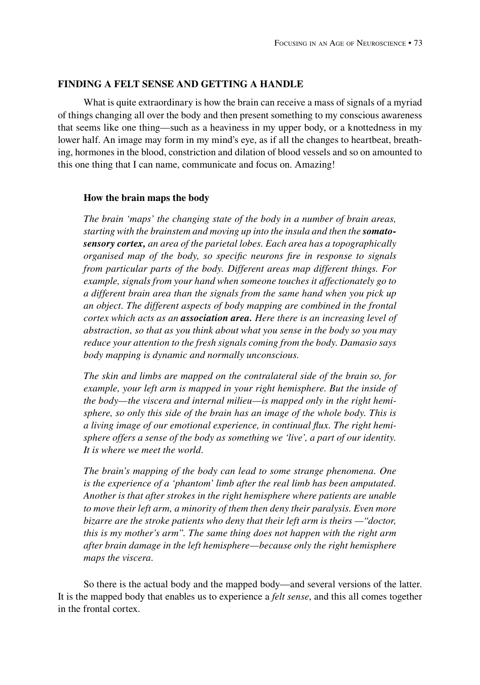## **Finding a felt sense and getting a handle**

What is quite extraordinary is how the brain can receive a mass of signals of a myriad of things changing all over the body and then present something to my conscious awareness that seems like one thing—such as a heaviness in my upper body, or a knottedness in my lower half. An image may form in my mind's eye, as if all the changes to heartbeat, breathing, hormones in the blood, constriction and dilation of blood vessels and so on amounted to this one thing that I can name, communicate and focus on. Amazing!

#### **How the brain maps the body**

*The brain 'maps' the changing state of the body in a number of brain areas, starting with the brainstem and moving up into the insula and then the somatosensory cortex, an area of the parietal lobes. Each area has a topographically organised map of the body, so specific neurons fire in response to signals from particular parts of the body. Different areas map different things. For example, signals from your hand when someone touches it affectionately go to a different brain area than the signals from the same hand when you pick up an object. The different aspects of body mapping are combined in the frontal cortex which acts as an association area. Here there is an increasing level of abstraction, so that as you think about what you sense in the body so you may reduce your attention to the fresh signals coming from the body. Damasio says body mapping is dynamic and normally unconscious.*

*The skin and limbs are mapped on the contralateral side of the brain so, for example, your left arm is mapped in your right hemisphere. But the inside of the body—the viscera and internal milieu—is mapped only in the right hemisphere, so only this side of the brain has an image of the whole body. This is a living image of our emotional experience, in continual flux. The right hemisphere offers a sense of the body as something we 'live', a part of our identity. It is where we meet the world.*

*The brain's mapping of the body can lead to some strange phenomena. One is the experience of a 'phantom' limb after the real limb has been amputated. Another is that after strokes in the right hemisphere where patients are unable to move their left arm, a minority of them then deny their paralysis. Even more bizarre are the stroke patients who deny that their left arm is theirs —"doctor, this is my mother's arm". The same thing does not happen with the right arm after brain damage in the left hemisphere—because only the right hemisphere maps the viscera.*

So there is the actual body and the mapped body—and several versions of the latter. It is the mapped body that enables us to experience a *felt sense*, and this all comes together in the frontal cortex.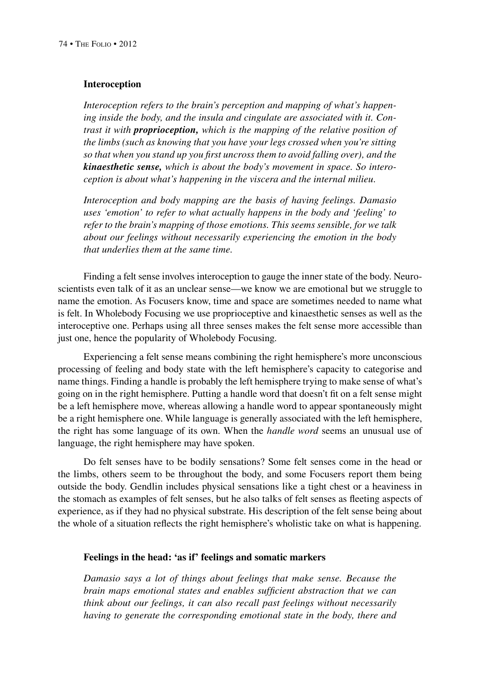## **Interoception**

*Interoception refers to the brain's perception and mapping of what's happening inside the body, and the insula and cingulate are associated with it. Contrast it with proprioception, which is the mapping of the relative position of the limbs (such as knowing that you have your legs crossed when you're sitting so that when you stand up you first uncross them to avoid falling over), and the kinaesthetic sense, which is about the body's movement in space. So interoception is about what's happening in the viscera and the internal milieu.*

*Interoception and body mapping are the basis of having feelings. Damasio uses 'emotion' to refer to what actually happens in the body and 'feeling' to refer to the brain's mapping of those emotions. This seems sensible, for we talk about our feelings without necessarily experiencing the emotion in the body that underlies them at the same time.*

Finding a felt sense involves interoception to gauge the inner state of the body. Neuroscientists even talk of it as an unclear sense—we know we are emotional but we struggle to name the emotion. As Focusers know, time and space are sometimes needed to name what is felt. In Wholebody Focusing we use proprioceptive and kinaesthetic senses as well as the interoceptive one. Perhaps using all three senses makes the felt sense more accessible than just one, hence the popularity of Wholebody Focusing.

Experiencing a felt sense means combining the right hemisphere's more unconscious processing of feeling and body state with the left hemisphere's capacity to categorise and name things. Finding a handle is probably the left hemisphere trying to make sense of what's going on in the right hemisphere. Putting a handle word that doesn't fit on a felt sense might be a left hemisphere move, whereas allowing a handle word to appear spontaneously might be a right hemisphere one. While language is generally associated with the left hemisphere, the right has some language of its own. When the *handle word* seems an unusual use of language, the right hemisphere may have spoken.

Do felt senses have to be bodily sensations? Some felt senses come in the head or the limbs, others seem to be throughout the body, and some Focusers report them being outside the body. Gendlin includes physical sensations like a tight chest or a heaviness in the stomach as examples of felt senses, but he also talks of felt senses as fleeting aspects of experience, as if they had no physical substrate. His description of the felt sense being about the whole of a situation reflects the right hemisphere's wholistic take on what is happening.

## **Feelings in the head: 'as if' feelings and somatic markers**

*Damasio says a lot of things about feelings that make sense. Because the brain maps emotional states and enables sufficient abstraction that we can think about our feelings, it can also recall past feelings without necessarily having to generate the corresponding emotional state in the body, there and*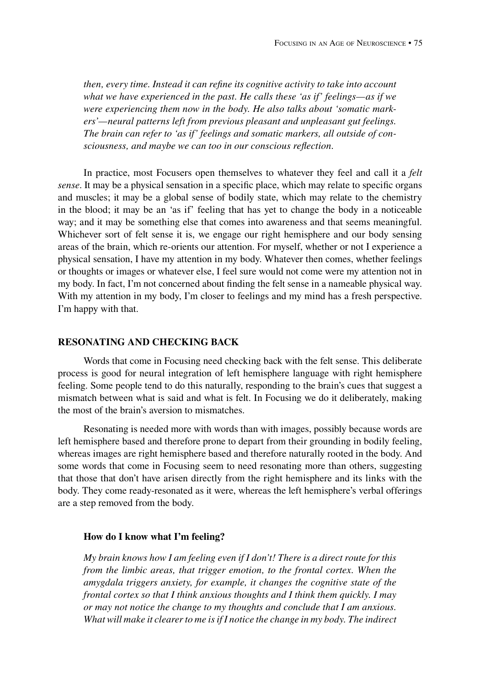*then, every time. Instead it can refine its cognitive activity to take into account what we have experienced in the past. He calls these 'as if' feelings—as if we were experiencing them now in the body. He also talks about 'somatic markers'—neural patterns left from previous pleasant and unpleasant gut feelings. The brain can refer to 'as if' feelings and somatic markers, all outside of consciousness, and maybe we can too in our conscious reflection.*

In practice, most Focusers open themselves to whatever they feel and call it a *felt sense*. It may be a physical sensation in a specific place, which may relate to specific organs and muscles; it may be a global sense of bodily state, which may relate to the chemistry in the blood; it may be an 'as if' feeling that has yet to change the body in a noticeable way; and it may be something else that comes into awareness and that seems meaningful. Whichever sort of felt sense it is, we engage our right hemisphere and our body sensing areas of the brain, which re-orients our attention. For myself, whether or not I experience a physical sensation, I have my attention in my body. Whatever then comes, whether feelings or thoughts or images or whatever else, I feel sure would not come were my attention not in my body. In fact, I'm not concerned about finding the felt sense in a nameable physical way. With my attention in my body, I'm closer to feelings and my mind has a fresh perspective. I'm happy with that.

# **Resonating and checking back**

Words that come in Focusing need checking back with the felt sense. This deliberate process is good for neural integration of left hemisphere language with right hemisphere feeling. Some people tend to do this naturally, responding to the brain's cues that suggest a mismatch between what is said and what is felt. In Focusing we do it deliberately, making the most of the brain's aversion to mismatches.

Resonating is needed more with words than with images, possibly because words are left hemisphere based and therefore prone to depart from their grounding in bodily feeling, whereas images are right hemisphere based and therefore naturally rooted in the body. And some words that come in Focusing seem to need resonating more than others, suggesting that those that don't have arisen directly from the right hemisphere and its links with the body. They come ready-resonated as it were, whereas the left hemisphere's verbal offerings are a step removed from the body.

#### **How do I know what I'm feeling?**

*My brain knows how I am feeling even if I don't! There is a direct route for this from the limbic areas, that trigger emotion, to the frontal cortex. When the amygdala triggers anxiety, for example, it changes the cognitive state of the frontal cortex so that I think anxious thoughts and I think them quickly. I may or may not notice the change to my thoughts and conclude that I am anxious. What will make it clearer to me is if I notice the change in my body. The indirect*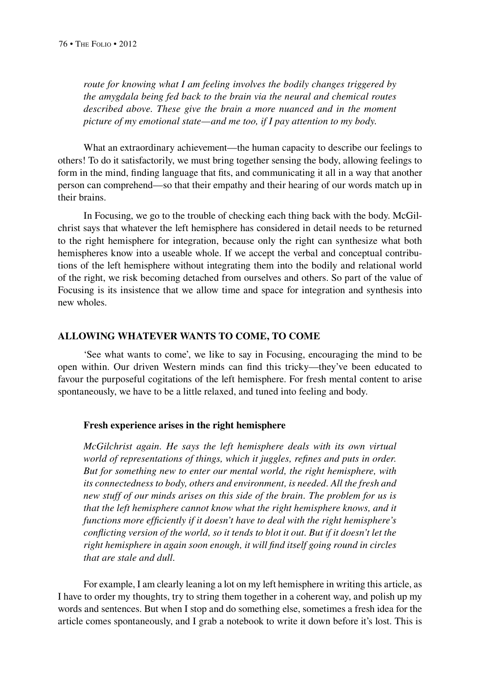*route for knowing what I am feeling involves the bodily changes triggered by the amygdala being fed back to the brain via the neural and chemical routes described above. These give the brain a more nuanced and in the moment picture of my emotional state—and me too, if I pay attention to my body.*

What an extraordinary achievement—the human capacity to describe our feelings to others! To do it satisfactorily, we must bring together sensing the body, allowing feelings to form in the mind, finding language that fits, and communicating it all in a way that another person can comprehend—so that their empathy and their hearing of our words match up in their brains.

In Focusing, we go to the trouble of checking each thing back with the body. McGilchrist says that whatever the left hemisphere has considered in detail needs to be returned to the right hemisphere for integration, because only the right can synthesize what both hemispheres know into a useable whole. If we accept the verbal and conceptual contributions of the left hemisphere without integrating them into the bodily and relational world of the right, we risk becoming detached from ourselves and others. So part of the value of Focusing is its insistence that we allow time and space for integration and synthesis into new wholes.

## **Allowing whatever wants to come, to come**

'See what wants to come', we like to say in Focusing, encouraging the mind to be open within. Our driven Western minds can find this tricky—they've been educated to favour the purposeful cogitations of the left hemisphere. For fresh mental content to arise spontaneously, we have to be a little relaxed, and tuned into feeling and body.

## **Fresh experience arises in the right hemisphere**

*McGilchrist again. He says the left hemisphere deals with its own virtual world of representations of things, which it juggles, refines and puts in order. But for something new to enter our mental world, the right hemisphere, with its connectedness to body, others and environment, is needed. All the fresh and new stuff of our minds arises on this side of the brain. The problem for us is that the left hemisphere cannot know what the right hemisphere knows, and it functions more efficiently if it doesn't have to deal with the right hemisphere's conflicting version of the world, so it tends to blot it out. But if it doesn't let the right hemisphere in again soon enough, it will find itself going round in circles that are stale and dull.*

For example, I am clearly leaning a lot on my left hemisphere in writing this article, as I have to order my thoughts, try to string them together in a coherent way, and polish up my words and sentences. But when I stop and do something else, sometimes a fresh idea for the article comes spontaneously, and I grab a notebook to write it down before it's lost. This is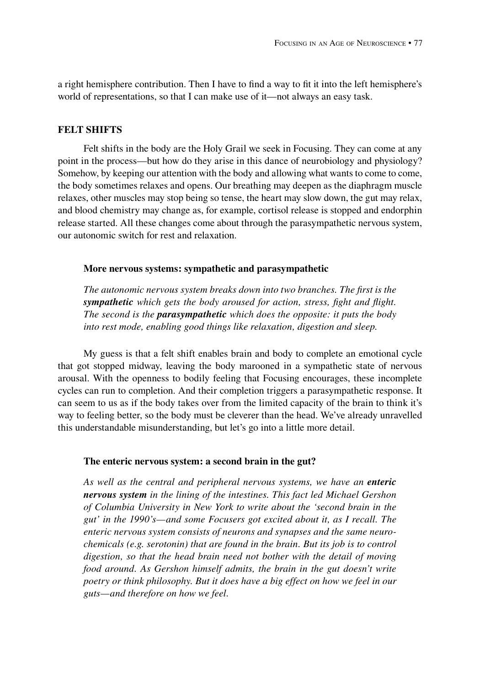a right hemisphere contribution. Then I have to find a way to fit it into the left hemisphere's world of representations, so that I can make use of it—not always an easy task.

# **Felt shifts**

Felt shifts in the body are the Holy Grail we seek in Focusing. They can come at any point in the process—but how do they arise in this dance of neurobiology and physiology? Somehow, by keeping our attention with the body and allowing what wants to come to come, the body sometimes relaxes and opens. Our breathing may deepen as the diaphragm muscle relaxes, other muscles may stop being so tense, the heart may slow down, the gut may relax, and blood chemistry may change as, for example, cortisol release is stopped and endorphin release started. All these changes come about through the parasympathetic nervous system, our autonomic switch for rest and relaxation.

## **More nervous systems: sympathetic and parasympathetic**

*The autonomic nervous system breaks down into two branches. The first is the sympathetic which gets the body aroused for action, stress, fight and flight. The second is the parasympathetic which does the opposite: it puts the body into rest mode, enabling good things like relaxation, digestion and sleep.*

My guess is that a felt shift enables brain and body to complete an emotional cycle that got stopped midway, leaving the body marooned in a sympathetic state of nervous arousal. With the openness to bodily feeling that Focusing encourages, these incomplete cycles can run to completion. And their completion triggers a parasympathetic response. It can seem to us as if the body takes over from the limited capacity of the brain to think it's way to feeling better, so the body must be cleverer than the head. We've already unravelled this understandable misunderstanding, but let's go into a little more detail.

## **The enteric nervous system: a second brain in the gut?**

*As well as the central and peripheral nervous systems, we have an enteric nervous system in the lining of the intestines. This fact led Michael Gershon of Columbia University in New York to write about the 'second brain in the gut' in the 1990's—and some Focusers got excited about it, as I recall. The enteric nervous system consists of neurons and synapses and the same neurochemicals (e.g. serotonin) that are found in the brain. But its job is to control digestion, so that the head brain need not bother with the detail of moving food around. As Gershon himself admits, the brain in the gut doesn't write poetry or think philosophy. But it does have a big effect on how we feel in our guts—and therefore on how we feel.*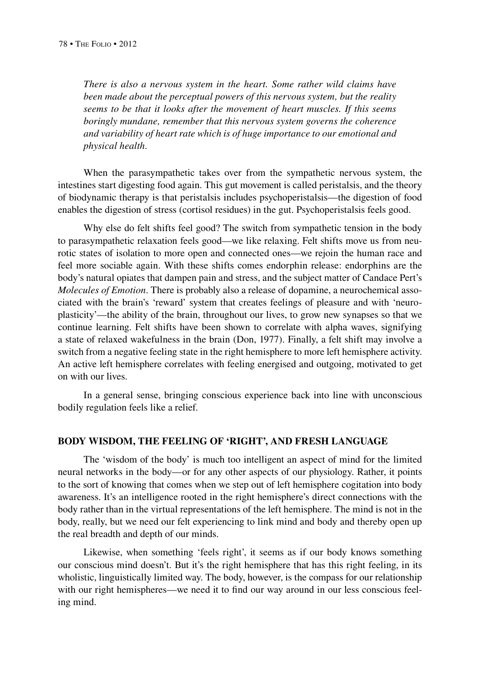*There is also a nervous system in the heart. Some rather wild claims have been made about the perceptual powers of this nervous system, but the reality seems to be that it looks after the movement of heart muscles. If this seems boringly mundane, remember that this nervous system governs the coherence and variability of heart rate which is of huge importance to our emotional and physical health.*

When the parasympathetic takes over from the sympathetic nervous system, the intestines start digesting food again. This gut movement is called peristalsis, and the theory of biodynamic therapy is that peristalsis includes psychoperistalsis—the digestion of food enables the digestion of stress (cortisol residues) in the gut. Psychoperistalsis feels good.

Why else do felt shifts feel good? The switch from sympathetic tension in the body to parasympathetic relaxation feels good—we like relaxing. Felt shifts move us from neurotic states of isolation to more open and connected ones—we rejoin the human race and feel more sociable again. With these shifts comes endorphin release: endorphins are the body's natural opiates that dampen pain and stress, and the subject matter of Candace Pert's *Molecules of Emotion*. There is probably also a release of dopamine, a neurochemical associated with the brain's 'reward' system that creates feelings of pleasure and with 'neuroplasticity'—the ability of the brain, throughout our lives, to grow new synapses so that we continue learning. Felt shifts have been shown to correlate with alpha waves, signifying a state of relaxed wakefulness in the brain (Don, 1977). Finally, a felt shift may involve a switch from a negative feeling state in the right hemisphere to more left hemisphere activity. An active left hemisphere correlates with feeling energised and outgoing, motivated to get on with our lives.

In a general sense, bringing conscious experience back into line with unconscious bodily regulation feels like a relief.

#### **body wisdom, the feeling of 'right', and fresh language**

The 'wisdom of the body' is much too intelligent an aspect of mind for the limited neural networks in the body—or for any other aspects of our physiology. Rather, it points to the sort of knowing that comes when we step out of left hemisphere cogitation into body awareness. It's an intelligence rooted in the right hemisphere's direct connections with the body rather than in the virtual representations of the left hemisphere. The mind is not in the body, really, but we need our felt experiencing to link mind and body and thereby open up the real breadth and depth of our minds.

Likewise, when something 'feels right', it seems as if our body knows something our conscious mind doesn't. But it's the right hemisphere that has this right feeling, in its wholistic, linguistically limited way. The body, however, is the compass for our relationship with our right hemispheres—we need it to find our way around in our less conscious feeling mind.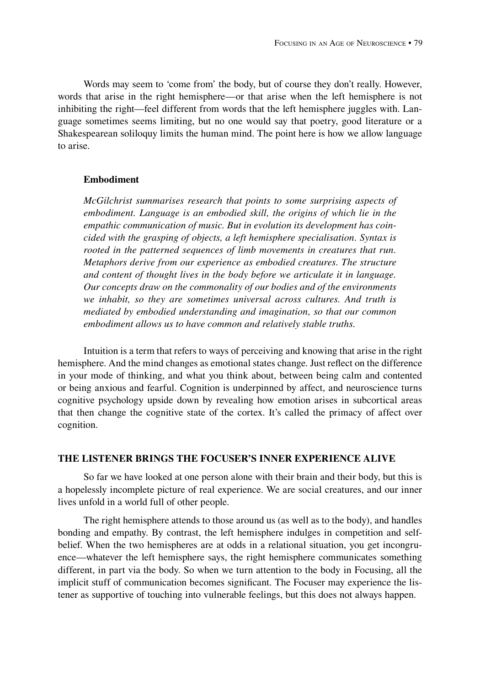Words may seem to 'come from' the body, but of course they don't really. However, words that arise in the right hemisphere—or that arise when the left hemisphere is not inhibiting the right—feel different from words that the left hemisphere juggles with. Language sometimes seems limiting, but no one would say that poetry, good literature or a Shakespearean soliloquy limits the human mind. The point here is how we allow language to arise.

## **Embodiment**

*McGilchrist summarises research that points to some surprising aspects of embodiment. Language is an embodied skill, the origins of which lie in the empathic communication of music. But in evolution its development has coincided with the grasping of objects, a left hemisphere specialisation. Syntax is rooted in the patterned sequences of limb movements in creatures that run. Metaphors derive from our experience as embodied creatures. The structure and content of thought lives in the body before we articulate it in language. Our concepts draw on the commonality of our bodies and of the environments we inhabit, so they are sometimes universal across cultures. And truth is mediated by embodied understanding and imagination, so that our common embodiment allows us to have common and relatively stable truths.*

Intuition is a term that refers to ways of perceiving and knowing that arise in the right hemisphere. And the mind changes as emotional states change. Just reflect on the difference in your mode of thinking, and what you think about, between being calm and contented or being anxious and fearful. Cognition is underpinned by affect, and neuroscience turns cognitive psychology upside down by revealing how emotion arises in subcortical areas that then change the cognitive state of the cortex. It's called the primacy of affect over cognition.

## **The listener brings the focuser's inner experience alive**

So far we have looked at one person alone with their brain and their body, but this is a hopelessly incomplete picture of real experience. We are social creatures, and our inner lives unfold in a world full of other people.

The right hemisphere attends to those around us (as well as to the body), and handles bonding and empathy. By contrast, the left hemisphere indulges in competition and selfbelief. When the two hemispheres are at odds in a relational situation, you get incongruence—whatever the left hemisphere says, the right hemisphere communicates something different, in part via the body. So when we turn attention to the body in Focusing, all the implicit stuff of communication becomes significant. The Focuser may experience the listener as supportive of touching into vulnerable feelings, but this does not always happen.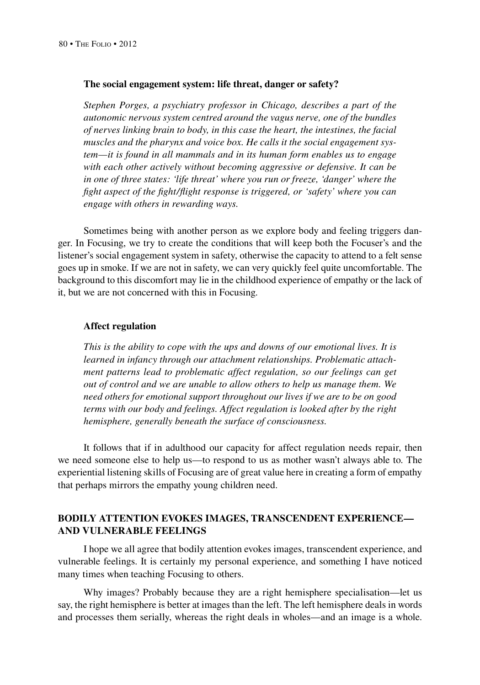#### **The social engagement system: life threat, danger or safety?**

*Stephen Porges, a psychiatry professor in Chicago, describes a part of the autonomic nervous system centred around the vagus nerve, one of the bundles of nerves linking brain to body, in this case the heart, the intestines, the facial muscles and the pharynx and voice box. He calls it the social engagement system—it is found in all mammals and in its human form enables us to engage with each other actively without becoming aggressive or defensive. It can be in one of three states: 'life threat' where you run or freeze, 'danger' where the fight aspect of the fight/flight response is triggered, or 'safety' where you can engage with others in rewarding ways.*

Sometimes being with another person as we explore body and feeling triggers danger. In Focusing, we try to create the conditions that will keep both the Focuser's and the listener's social engagement system in safety, otherwise the capacity to attend to a felt sense goes up in smoke. If we are not in safety, we can very quickly feel quite uncomfortable. The background to this discomfort may lie in the childhood experience of empathy or the lack of it, but we are not concerned with this in Focusing.

#### **Affect regulation**

*This is the ability to cope with the ups and downs of our emotional lives. It is learned in infancy through our attachment relationships. Problematic attachment patterns lead to problematic affect regulation, so our feelings can get out of control and we are unable to allow others to help us manage them. We need others for emotional support throughout our lives if we are to be on good terms with our body and feelings. Affect regulation is looked after by the right hemisphere, generally beneath the surface of consciousness.*

It follows that if in adulthood our capacity for affect regulation needs repair, then we need someone else to help us—to respond to us as mother wasn't always able to. The experiential listening skills of Focusing are of great value here in creating a form of empathy that perhaps mirrors the empathy young children need.

# **Bodily attention evokes images, transcendent experience and vulnerable feelings**

I hope we all agree that bodily attention evokes images, transcendent experience, and vulnerable feelings. It is certainly my personal experience, and something I have noticed many times when teaching Focusing to others.

Why images? Probably because they are a right hemisphere specialisation—let us say, the right hemisphere is better at images than the left. The left hemisphere deals in words and processes them serially, whereas the right deals in wholes—and an image is a whole.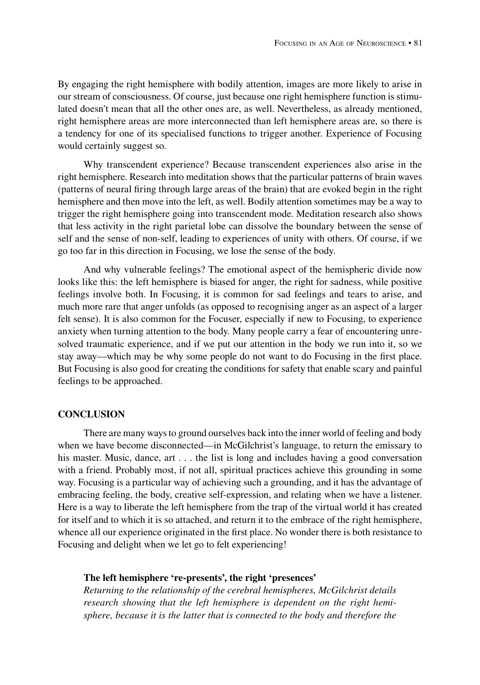By engaging the right hemisphere with bodily attention, images are more likely to arise in our stream of consciousness. Of course, just because one right hemisphere function is stimulated doesn't mean that all the other ones are, as well. Nevertheless, as already mentioned, right hemisphere areas are more interconnected than left hemisphere areas are, so there is a tendency for one of its specialised functions to trigger another. Experience of Focusing would certainly suggest so.

Why transcendent experience? Because transcendent experiences also arise in the right hemisphere. Research into meditation shows that the particular patterns of brain waves (patterns of neural firing through large areas of the brain) that are evoked begin in the right hemisphere and then move into the left, as well. Bodily attention sometimes may be a way to trigger the right hemisphere going into transcendent mode. Meditation research also shows that less activity in the right parietal lobe can dissolve the boundary between the sense of self and the sense of non-self, leading to experiences of unity with others. Of course, if we go too far in this direction in Focusing, we lose the sense of the body.

And why vulnerable feelings? The emotional aspect of the hemispheric divide now looks like this: the left hemisphere is biased for anger, the right for sadness, while positive feelings involve both. In Focusing, it is common for sad feelings and tears to arise, and much more rare that anger unfolds (as opposed to recognising anger as an aspect of a larger felt sense). It is also common for the Focuser, especially if new to Focusing, to experience anxiety when turning attention to the body. Many people carry a fear of encountering unresolved traumatic experience, and if we put our attention in the body we run into it, so we stay away—which may be why some people do not want to do Focusing in the first place. But Focusing is also good for creating the conditions for safety that enable scary and painful feelings to be approached.

#### **Conclusion**

There are many ways to ground ourselves back into the inner world of feeling and body when we have become disconnected—in McGilchrist's language, to return the emissary to his master. Music, dance, art . . . the list is long and includes having a good conversation with a friend. Probably most, if not all, spiritual practices achieve this grounding in some way. Focusing is a particular way of achieving such a grounding, and it has the advantage of embracing feeling, the body, creative self-expression, and relating when we have a listener. Here is a way to liberate the left hemisphere from the trap of the virtual world it has created for itself and to which it is so attached, and return it to the embrace of the right hemisphere, whence all our experience originated in the first place. No wonder there is both resistance to Focusing and delight when we let go to felt experiencing!

## **The left hemisphere 're-presents', the right 'presences'**

*Returning to the relationship of the cerebral hemispheres, McGilchrist details research showing that the left hemisphere is dependent on the right hemisphere, because it is the latter that is connected to the body and therefore the*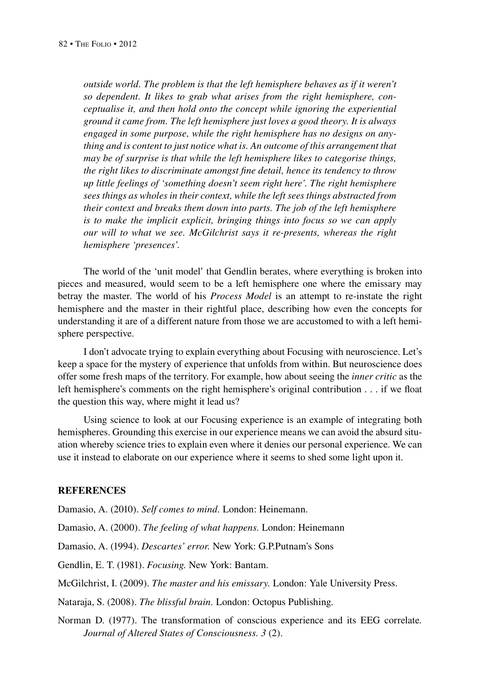*outside world. The problem is that the left hemisphere behaves as if it weren't so dependent. It likes to grab what arises from the right hemisphere, conceptualise it, and then hold onto the concept while ignoring the experiential ground it came from. The left hemisphere just loves a good theory. It is always engaged in some purpose, while the right hemisphere has no designs on anything and is content to just notice what is. An outcome of this arrangement that may be of surprise is that while the left hemisphere likes to categorise things, the right likes to discriminate amongst fine detail, hence its tendency to throw up little feelings of 'something doesn't seem right here'. The right hemisphere sees things as wholes in their context, while the left sees things abstracted from their context and breaks them down into parts. The job of the left hemisphere is to make the implicit explicit, bringing things into focus so we can apply our will to what we see. McGilchrist says it re-presents, whereas the right hemisphere 'presences'.*

The world of the 'unit model' that Gendlin berates, where everything is broken into pieces and measured, would seem to be a left hemisphere one where the emissary may betray the master. The world of his *Process Model* is an attempt to re-instate the right hemisphere and the master in their rightful place, describing how even the concepts for understanding it are of a different nature from those we are accustomed to with a left hemisphere perspective.

I don't advocate trying to explain everything about Focusing with neuroscience. Let's keep a space for the mystery of experience that unfolds from within. But neuroscience does offer some fresh maps of the territory. For example, how about seeing the *inner critic* as the left hemisphere's comments on the right hemisphere's original contribution . . . if we float the question this way, where might it lead us?

Using science to look at our Focusing experience is an example of integrating both hemispheres. Grounding this exercise in our experience means we can avoid the absurd situation whereby science tries to explain even where it denies our personal experience. We can use it instead to elaborate on our experience where it seems to shed some light upon it.

# **REFERENCES**

Damasio, A. (2010). *Self comes to mind.* London: Heinemann.

Damasio, A. (2000). *The feeling of what happens.* London: Heinemann

Damasio, A. (1994). *Descartes' error.* New York: G.P.Putnam's Sons

Gendlin, E. T. (1981). *Focusing.* New York: Bantam.

McGilchrist, I. (2009). *The master and his emissary.* London: Yale University Press.

Nataraja, S. (2008). *The blissful brain.* London: Octopus Publishing.

Norman D. (1977). The transformation of conscious experience and its EEG correlate*. Journal of Altered States of Consciousness. 3* (2).